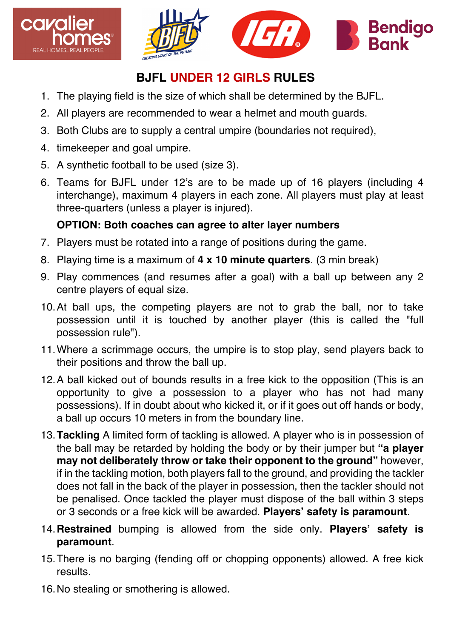



## **BJFL UNDER 12 GIRLS RULES**

- 1. The playing field is the size of which shall be determined by the BJFL.
- 2. All players are recommended to wear a helmet and mouth guards.
- 3. Both Clubs are to supply a central umpire (boundaries not required),
- 4. timekeeper and goal umpire.
- 5. A synthetic football to be used (size 3).
- 6. Teams for BJFL under 12's are to be made up of 16 players (including 4 interchange), maximum 4 players in each zone. All players must play at least three-quarters (unless a player is injured).

## **OPTION: Both coaches can agree to alter layer numbers**

- 7. Players must be rotated into a range of positions during the game.
- 8. Playing time is a maximum of **4 x 10 minute quarters**. (3 min break)
- 9. Play commences (and resumes after a goal) with a ball up between any 2 centre players of equal size.
- 10.At ball ups, the competing players are not to grab the ball, nor to take possession until it is touched by another player (this is called the "full possession rule").
- 11.Where a scrimmage occurs, the umpire is to stop play, send players back to their positions and throw the ball up.
- 12.A ball kicked out of bounds results in a free kick to the opposition (This is an opportunity to give a possession to a player who has not had many possessions). If in doubt about who kicked it, or if it goes out off hands or body, a ball up occurs 10 meters in from the boundary line.
- 13.**Tackling** A limited form of tackling is allowed. A player who is in possession of the ball may be retarded by holding the body or by their jumper but **"a player may not deliberately throw or take their opponent to the ground"** however, if in the tackling motion, both players fall to the ground, and providing the tackler does not fall in the back of the player in possession, then the tackler should not be penalised. Once tackled the player must dispose of the ball within 3 steps or 3 seconds or a free kick will be awarded. **Players' safety is paramount**.
- 14.**Restrained** bumping is allowed from the side only. **Players' safety is paramount**.
- 15.There is no barging (fending off or chopping opponents) allowed. A free kick results.
- 16.No stealing or smothering is allowed.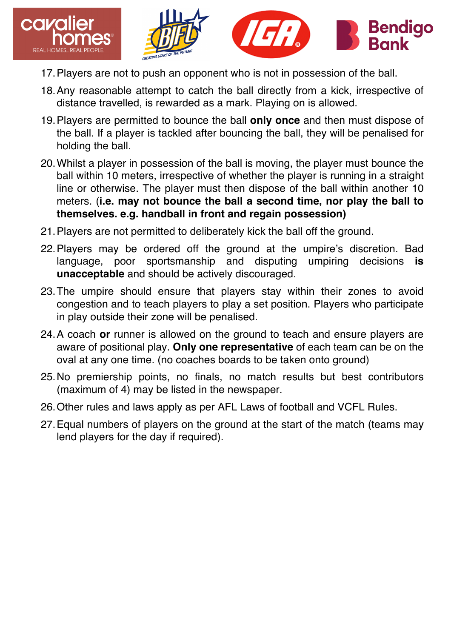



- 17.Players are not to push an opponent who is not in possession of the ball.
- 18.Any reasonable attempt to catch the ball directly from a kick, irrespective of distance travelled, is rewarded as a mark. Playing on is allowed.
- 19.Players are permitted to bounce the ball **only once** and then must dispose of the ball. If a player is tackled after bouncing the ball, they will be penalised for holding the ball.
- 20.Whilst a player in possession of the ball is moving, the player must bounce the ball within 10 meters, irrespective of whether the player is running in a straight line or otherwise. The player must then dispose of the ball within another 10 meters. (**i.e. may not bounce the ball a second time, nor play the ball to themselves. e.g. handball in front and regain possession)**
- 21.Players are not permitted to deliberately kick the ball off the ground.
- 22.Players may be ordered off the ground at the umpire's discretion. Bad language, poor sportsmanship and disputing umpiring decisions **is unacceptable** and should be actively discouraged.
- 23.The umpire should ensure that players stay within their zones to avoid congestion and to teach players to play a set position. Players who participate in play outside their zone will be penalised.
- 24.A coach **or** runner is allowed on the ground to teach and ensure players are aware of positional play. **Only one representative** of each team can be on the oval at any one time. (no coaches boards to be taken onto ground)
- 25.No premiership points, no finals, no match results but best contributors (maximum of 4) may be listed in the newspaper.
- 26.Other rules and laws apply as per AFL Laws of football and VCFL Rules.
- 27.Equal numbers of players on the ground at the start of the match (teams may lend players for the day if required).